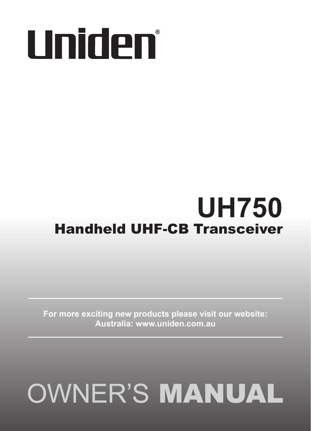# Uniden®

# **UH750** Handheld UHF-CB Transceiver

**For more exciting new products please visit our website: Australia: www.uniden.com.au**

# **OWNER'S MANUAL**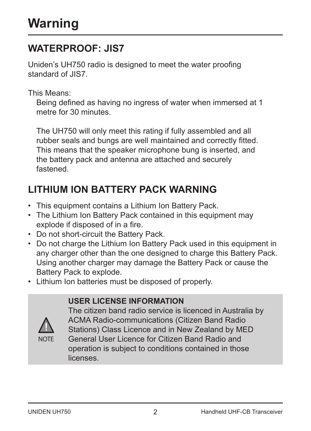## **WATERPROOF: JIS7**

Uniden's UH750 radio is designed to meet the water proofing standard of JIS7.

This Means:

Being defined as having no ingress of water when immersed at 1 metre for 30 minutes.

The UH750 will only meet this rating if fully assembled and all rubber seals and bungs are well maintained and correctly fitted. This means that the speaker microphone bung is inserted, and the battery pack and antenna are attached and securely fastened.

# **LITHIUM ION BATTERY PACK WARNING**

- This equipment contains a Lithium Ion Battery Pack.
- The Lithium Ion Battery Pack contained in this equipment may explode if disposed of in a fire.
- Do not short-circuit the Battery Pack.
- Do not charge the Lithium Ion Battery Pack used in this equipment in any charger other than the one designed to charge this Battery Pack. Using another charger may damage the Battery Pack or cause the Battery Pack to explode.
- Lithium Ion batteries must be disposed of properly.

#### **USER LICENSE INFORMATION**



The citizen band radio service is licenced in Australia by ACMA Radio-communications (Citizen Band Radio Stations) Class Licence and in New Zealand by MED General User Licence for Citizen Band Radio and operation is subject to conditions contained in those licenses.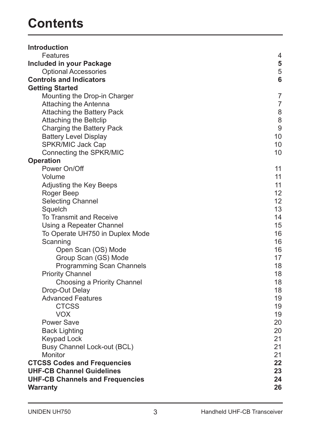# **Contents**

| <b>Introduction</b>                    |                |
|----------------------------------------|----------------|
| Features                               | $\overline{4}$ |
| Included in your Package               | 5              |
| <b>Optional Accessories</b>            | 5              |
| <b>Controls and Indicators</b>         | 6              |
| <b>Getting Started</b>                 |                |
| Mounting the Drop-in Charger           | 7              |
| Attaching the Antenna                  | $\overline{7}$ |
| Attaching the Battery Pack             | 8              |
| Attaching the Beltclip                 | 8              |
| Charging the Battery Pack              | 9              |
| <b>Battery Level Display</b>           | 10             |
| SPKR/MIC Jack Cap                      | 10             |
| Connecting the SPKR/MIC                | 10             |
| Operation                              |                |
| Power On/Off                           | 11             |
| Volume                                 | 11             |
| Adjusting the Key Beeps                | 11             |
| Roger Beep                             | 12             |
| <b>Selecting Channel</b>               | 12             |
| Squelch                                | 13             |
| To Transmit and Receive                | 14             |
| Using a Repeater Channel               | 15             |
| To Operate UH750 in Duplex Mode        | 16             |
| Scanning                               | 16             |
| Open Scan (OS) Mode                    | 16             |
| Group Scan (GS) Mode                   | 17             |
| Programming Scan Channels              | 18             |
| <b>Priority Channel</b>                | 18             |
| Choosing a Priority Channel            | 18             |
| Drop-Out Delay                         | 18             |
| <b>Advanced Features</b>               | 19             |
| <b>CTCSS</b>                           | 19             |
| <b>VOX</b>                             | 19             |
| Power Save                             | 20             |
| <b>Back Lighting</b>                   | 20             |
| <b>Keypad Lock</b>                     | 21             |
| Busy Channel Lock-out (BCL)            | 21             |
| Monitor                                | 21             |
| <b>CTCSS Codes and Frequencies</b>     | 22             |
| <b>UHF-CB Channel Guidelines</b>       | 23             |
| <b>UHF-CB Channels and Frequencies</b> | 24             |
| Warranty                               | 26             |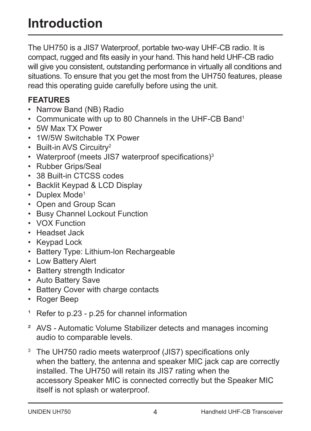# **Introduction**

The UH750 is a JIS7 Waterproof, portable two-way UHF-CB radio. It is compact, rugged and fits easily in your hand. This hand held UHF-CB radio will give you consistent, outstanding performance in virtually all conditions and situations. To ensure that you get the most from the UH750 features, please read this operating guide carefully before using the unit.

#### **FEATURES**

- Narrow Band (NB) Radio
- Communicate with up to 80 Channels in the UHF-CB Band<sup>1</sup>
- 5W Max TX Power
- 1W/5W Switchable TX Power
- Built-in AVS Circuitry<sup>2</sup>
- Waterproof (meets JIS7 waterproof specifications)<sup>3</sup>
- Rubber Grips/Seal
- 38 Built-in CTCSS codes
- Backlit Keypad & LCD Display
- Duplex Mode<sup>1</sup>
- Open and Group Scan
- Busy Channel Lockout Function
- VOX Function
- Headset Jack
- Keypad Lock
- Battery Type: Lithium-lon Rechargeable
- Low Battery Alert
- Battery strength Indicator
- Auto Battery Save
- Battery Cover with charge contacts
- Roger Beep
- <sup>1</sup> Refer to p.23 p.25 for channel information
- ² AVS Automatic Volume Stabilizer detects and manages incoming audio to comparable levels.
- <sup>3</sup> The UH750 radio meets waterproof (JIS7) specifications only when the battery, the antenna and speaker MIC jack cap are correctly installed. The UH750 will retain its JIS7 rating when the accessory Speaker MIC is connected correctly but the Speaker MIC itself is not splash or waterproof.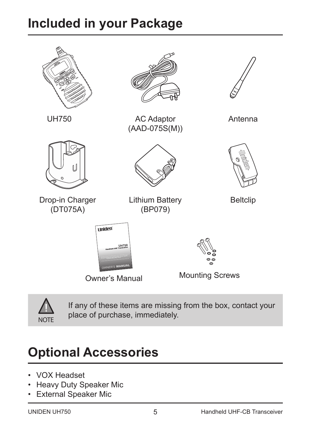# **Included in your Package**





UH750 AC Adaptor (AAD-075S(M))



Antenna



Drop-in Charger (DT075A)

Lithium Battery (BP079)



Beltclip







Owner's Manual Mounting Screws



If any of these items are missing from the box, contact your place of purchase, immediately.

# **Optional Accessories**

- VOX Headset
- Heavy Duty Speaker Mic
- External Speaker Mic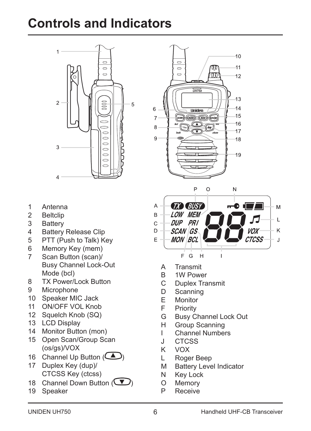# **Controls and Indicators**



 $10$  $\overline{a}$  $11$  $\overline{a}$ π  $\overline{\phantom{a}}$ m 12 *UH750*  $13$ 6  $14$ **Uniden**  $15$  $\overline{z}$  $\sqrt{m}$ 16  $\mathbf{a}$ **<sup>1</sup> 5w** $17$  $\overline{Q}$  $18$ 19

- 1 Antenna
- 2 Beltclip<br>3 Battery
- 3 Battery<br>4 Battery
- 4 Battery Release Clip<br>5 PTT (Push to Talk) K
- 5 PTT (Push to Talk) Key<br>6 Memory Key (mem)
- Memory Key (mem)
- 7 Scan Button (scan)/ Busy Channel Lock-Out Mode (bcl)
- 8 TX Power/Lock Button<br>9 Microphone
- **Microphone**
- 10 Speaker MIC Jack
- 11 ON/OFF VOL Knob
- 12 Squelch Knob (SQ)
- 13 LCD Display
- 14 Monitor Button (mon)
- 15 Open Scan/Group Scan (os/gs)/VOX
- 16 Channel Up Button  $($
- 17 Duplex Key (dup)/ CTCSS Key (ctcss)
- 18 Channel Down Button  $\overline{\mathbf{V}}$
- 19 Speaker



- A Transmit<br>B 1W Powe
- 1W Power
- C Duplex Transmit<br>D Scanning
- D Scanning<br>E Monitor
- E Monitor<br>E Priority
- F Priority<br>G Busy C
- Busy Channel Lock Out
- H Group Scanning<br>I Channel Number
- I Channel Numbers<br>J CTCSS
- J CTCSS<br>K VOX
- K VOX
- L Roger Beep
- M Battery Level Indicator<br>N Kev Lock
- Key Lock
- O Memory<br>P Receive
- **Receive**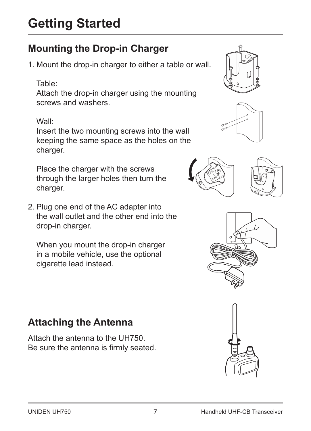# **Mounting the Drop-in Charger**

1. Mount the drop-in charger to either a table or wall.

#### Table:

Attach the drop-in charger using the mounting screws and washers.

#### Wall:

Insert the two mounting screws into the wall keeping the same space as the holes on the charger.

Place the charger with the screws through the larger holes then turn the charger.

2. Plug one end of the AC adapter into the wall outlet and the other end into the drop-in charger.

When you mount the drop-in charger in a mobile vehicle, use the optional cigarette lead instead.

# **Attaching the Antenna**

Attach the antenna to the UH750. Be sure the antenna is firmly seated.









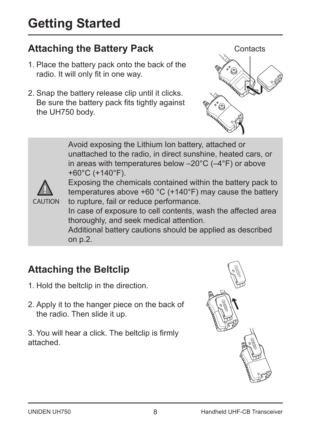# **Attaching the Battery Pack**

- 1. Place the battery pack onto the back of the radio. It will only fit in one way.
- 2. Snap the battery release clip until it clicks. Be sure the battery pack fits tightly against the UH750 body.



Avoid exposing the Lithium Ion battery, attached or unattached to the radio, in direct sunshine, heated cars, or in areas with temperatures below –20°C (–4°F) or above +60°C (+140°F).



Exposing the chemicals contained within the battery pack to temperatures above +60 °C (+140°F) may cause the battery to rupture, fail or reduce performance.

In case of exposure to cell contents, wash the affected area thoroughly, and seek medical attention.

Additional battery cautions should be applied as described on p.2.

# **Attaching the Beltclip**

- 1. Hold the beltclip in the direction.
- 2. Apply it to the hanger piece on the back of the radio. Then slide it up.

3. You will hear a click. The beltclip is firmly attached.

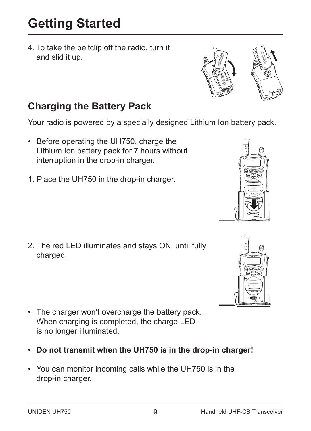4. To take the beltclip off the radio, turn it and slid it up.

## **Charging the Battery Pack**

Your radio is powered by a specially designed Lithium Ion battery pack.

- Before operating the UH750, charge the Lithium Ion battery pack for 7 hours without interruption in the drop-in charger.
- 1. Place the UH750 in the drop-in charger.

2. The red LED illuminates and stays ON, until fully charged.

- The charger won't overcharge the battery pack. When charging is completed, the charge LED is no longer illuminated.
- **Do not transmit when the UH750 is in the drop-in charger!**
- You can monitor incoming calls while the UH750 is in the drop-in charger.





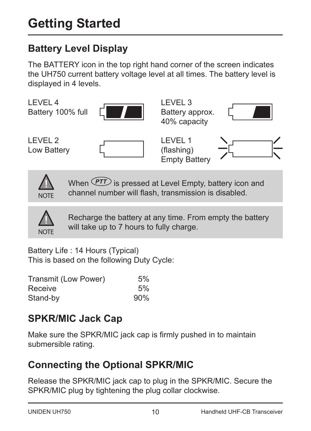# **Battery Level Display**

The BATTERY icon in the top right hand corner of the screen indicates the UH750 current battery voltage level at all times. The battery level is displayed in 4 levels.





When *PTT* is pressed at Level Empty, battery icon and channel number will flash, transmission is disabled.



Recharge the battery at any time. From empty the battery will take up to 7 hours to fully charge.

Battery Life : 14 Hours (Typical) This is based on the following Duty Cycle:

| Transmit (Low Power) | 5%  |
|----------------------|-----|
| Receive              | 5%  |
| Stand-by             | 90% |

# **SPKR/MIC Jack Cap**

Make sure the SPKR/MIC jack cap is firmly pushed in to maintain submersible rating.

# **Connecting the Optional SPKR/MIC**

Release the SPKR/MIC jack cap to plug in the SPKR/MIC. Secure the SPKR/MIC plug by tightening the plug collar clockwise.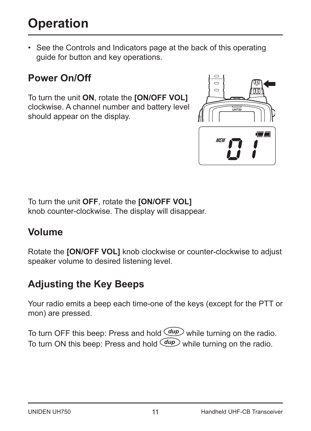# **Operation**

• See the Controls and Indicators page at the back of this operating guide for button and key operations.

# **Power On/Off**

To turn the unit **ON**, rotate the **[ON/OFF VOL]** clockwise. A channel number and battery level should appear on the display.



To turn the unit **OFF**, rotate the **[ON/OFF VOL]** knob counter-clockwise. The display will disappear.

## **Volume**

Rotate the **[ON/OFF VOL]** knob clockwise or counter-clockwise to adjust speaker volume to desired listening level.

# **Adjusting the Key Beeps**

Your radio emits a beep each time-one of the keys (except for the PTT or mon) are pressed.

To turn OFF this beep: Press and hold  $(dup)$  while turning on the radio. To turn ON this beep: Press and hold *dup* while turning on the radio.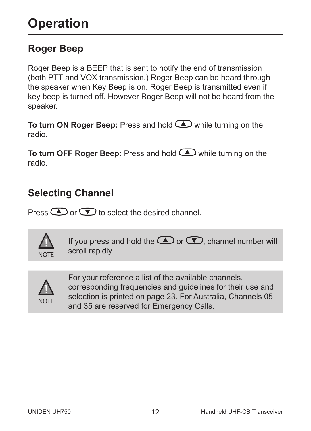# **Roger Beep**

Roger Beep is a BEEP that is sent to notify the end of transmission (both PTT and VOX transmission.) Roger Beep can be heard through the speaker when Key Beep is on. Roger Beep is transmitted even if key beep is turned off. However Roger Beep will not be heard from the speaker.

**To turn ON Roger Beep:** Press and hold **a** while turning on the radio.

**To turn OFF Roger Beep:** Press and hold while turning on the radio.

## **Selecting Channel**

Press  $\bigodot$  or  $\bigodot$  to select the desired channel.



If you press and hold the  $\bigcirc$  or  $\bigcirc$ , channel number will scroll rapidly.



For your reference a list of the available channels, corresponding frequencies and guidelines for their use and selection is printed on page 23. For Australia, Channels 05 and 35 are reserved for Emergency Calls.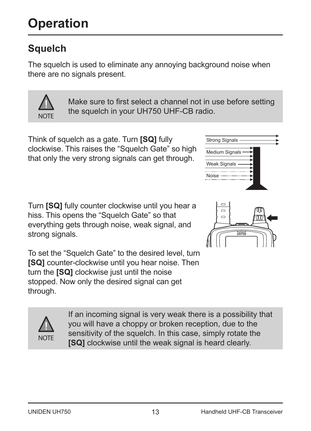# **Squelch**

The squelch is used to eliminate any annoying background noise when there are no signals present.

*squelch in your UH076SX UHF-CB radio.*

Make sure to first select a channel not in use before setting the squelch in your UH750 UHF-CB radio.

Think of squelch as a gate. Turn **[SQ]** fully Think of squelch as a gate. Turn **[SQ]** fully clockwise. This raises the "Squelch Gate" so high clockwise. This raises the "Squelch Gate" so high that only the very strong signals can get through. that only the very strong signals can get through.

Turn **[SQ]** fully counter clockwise until you hear a Turn **[SQ]** fully counter clockwise until you hear a hiss. This opens the "Squelch Gate" so that hiss. This opens the "Squelch Gate" so that everything gets through noise, weak signal, and everything gets through noise, weak signal, and strong signals. strong signals.

To set the "Squelch Gate" to the desired level, turn To set the "squelch" sale to the desired level, turn **EVALUATE: EXAMPLE CONSTRUCT:** THE **[SQ]** clockwise just until the noise. The stopped. Now only the desired signal can get turn the **[SQ]** clockwise just until the noise through. stopped. Now only the desired signal can get

> If an incoming signal is very weak there is a possibility that you will have a choppy or broken reception, due to the *If an incoming signal is very weak there is a* for the same a shoppy of *broken reception*, also to the sensitivity of the squelch. In this case, simply rotate the **[SQ]** clockwise until the weak signal is heard clearly. *In this case, simply rotate the [SQ] clockwise*

> > 13



Noise Weak Signals Medium Signals Strong Signals



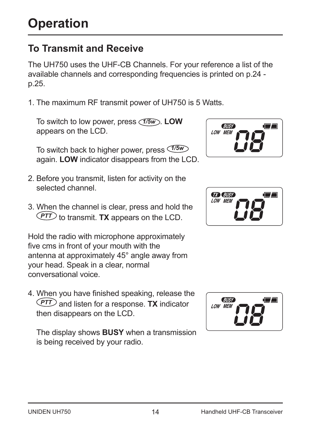# **To Transmit and Receive**

The UH750 uses the UHF-CB Channels. For your reference a list of the available channels and corresponding frequencies is printed on p.24 p.25.

1. The maximum RF transmit power of UH750 is 5 Watts.

To switch to low power, press *1/5w* . **LOW** appears on the LCD.

To switch back to higher power, press *1/5w* again. **LOW** indicator disappears from the LCD.

- 2. Before you transmit, listen for activity on the selected channel
- 3. When the channel is clear, press and hold the *PTT* to transmit. **TX** appears on the LCD.

Hold the radio with microphone approximately five cms in front of your mouth with the antenna at approximately 45° angle away from your head. Speak in a clear, normal conversational voice.

4. When you have finished speaking, release the *PTT* and listen for a response. **TX** indicator then disappears on the LCD.

The display shows **BUSY** when a transmission is being received by your radio.





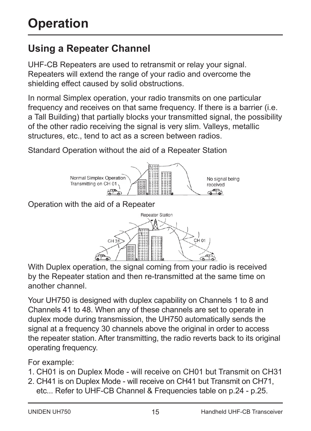# **Using a Repeater Channel**

UHF-CB Repeaters are used to retransmit or relay your signal. Repeaters will extend the range of your radio and overcome the shielding effect caused by solid obstructions.

In normal Simplex operation, your radio transmits on one particular frequency and receives on that same frequency. If there is a barrier (i.e. a Tall Building) that partially blocks your transmitted signal, the possibility of the other radio receiving the signal is very slim. Valleys, metallic structures, etc., tend to act as a screen between radios.

Standard Operation without the aid of a Repeater Station



Operation with the aid of a Repeater



With Duplex operation, the signal coming from your radio is received by the Repeater station and then re-transmitted at the same time on another channel.

Your UH750 is designed with duplex capability on Channels 1 to 8 and Channels 41 to 48. When any of these channels are set to operate in duplex mode during transmission, the UH750 automatically sends the signal at a frequency 30 channels above the original in order to access the repeater station. After transmitting, the radio reverts back to its original operating frequency.

For example:

- 1. CH01 is on Duplex Mode will receive on CH01 but Transmit on CH31
- 2. CH41 is on Duplex Mode will receive on CH41 but Transmit on CH71, etc... Refer to UHF-CB Channel & Frequencies table on p.24 - p.25.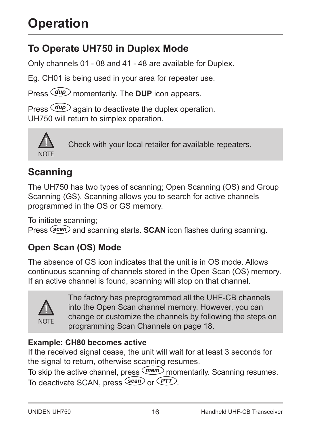# **Operation**

# **To Operate UH750 in Duplex Mode**

Only channels 01 - 08 and 41 - 48 are available for Duplex.

Eg. CH01 is being used in your area for repeater use.

Press *dup* momentarily. The **DUP** icon appears.

Press *dup* again to deactivate the duplex operation. UH750 will return to simplex operation.



Check with your local retailer for available repeaters.

# **Scanning**

The UH750 has two types of scanning; Open Scanning (OS) and Group Scanning (GS). Scanning allows you to search for active channels programmed in the OS or GS memory.

To initiate scanning; Press *scan* and scanning starts. **SCAN** icon flashes during scanning.

## **Open Scan (OS) Mode**

The absence of GS icon indicates that the unit is in OS mode. Allows continuous scanning of channels stored in the Open Scan (OS) memory. If an active channel is found, scanning will stop on that channel.



The factory has preprogrammed all the UHF-CB channels into the Open Scan channel memory. However, you can change or customize the channels by following the steps on programming Scan Channels on page 18.

#### **Example: CH80 becomes active**

If the received signal cease, the unit will wait for at least 3 seconds for the signal to return, otherwise scanning resumes.

To skip the active channel, press *mem* momentarily. Scanning resumes. To deactivate SCAN, press *scan* or *PTT* .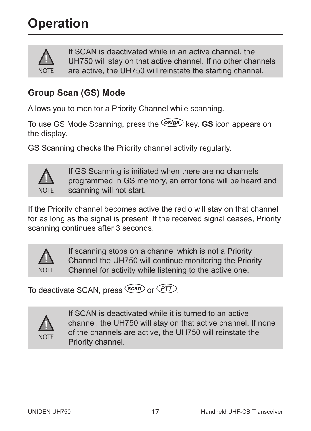

If SCAN is deactivated while in an active channel, the UH750 will stay on that active channel. If no other channels are active, the UH750 will reinstate the starting channel.

## **Group Scan (GS) Mode**

Allows you to monitor a Priority Channel while scanning.

To use GS Mode Scanning, press the *os/gs* key. **GS** icon appears on the display.

GS Scanning checks the Priority channel activity regularly.



If GS Scanning is initiated when there are no channels programmed in GS memory, an error tone will be heard and scanning will not start.

If the Priority channel becomes active the radio will stay on that channel for as long as the signal is present. If the received signal ceases, Priority scanning continues after 3 seconds.



If scanning stops on a channel which is not a Priority Channel the UH750 will continue monitoring the Priority Channel for activity while listening to the active one.

To deactivate SCAN, press *scan* or *PTT* .



If SCAN is deactivated while it is turned to an active channel, the UH750 will stay on that active channel. If none of the channels are active, the UH750 will reinstate the Priority channel.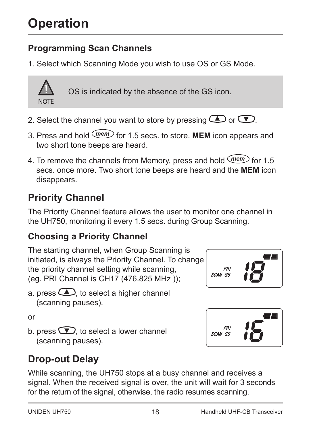### **Programming Scan Channels**

1. Select which Scanning Mode you wish to use OS or GS Mode.



OS is indicated by the absence of the GS icon.

- 2. Select the channel you want to store by pressing  $\bigcirc$  or  $\bigcirc$ .
- 3. Press and hold *mem* for 1.5 secs. to store. **MEM** icon appears and two short tone beeps are heard.
- 4. To remove the channels from Memory, press and hold *mem* for 1.5 secs. once more. Two short tone beeps are heard and the **MEM** icon disappears.

# **Priority Channel**

The Priority Channel feature allows the user to monitor one channel in the UH750, monitoring it every 1.5 secs. during Group Scanning.

#### **Choosing a Priority Channel**

The starting channel, when Group Scanning is initiated, is always the Priority Channel. To change the priority channel setting while scanning, (eg. PRI Channel is CH17 (476.825 MHz ));

a. press  $\bigcirc$  to select a higher channel (scanning pauses).

or

b. press  $\bigcirc$ . to select a lower channel (scanning pauses).

# **Drop-out Delay**

While scanning, the UH750 stops at a busy channel and receives a signal. When the received signal is over, the unit will wait for 3 seconds for the return of the signal, otherwise, the radio resumes scanning.



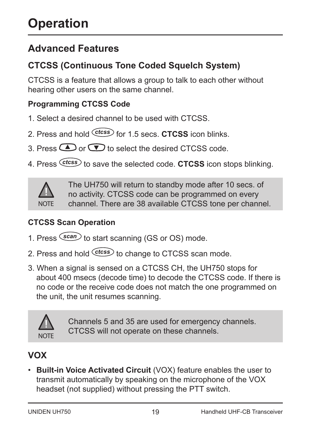# **Advanced Features**

## **CTCSS (Continuous Tone Coded Squelch System)**

CTCSS is a feature that allows a group to talk to each other without hearing other users on the same channel.

#### **Programming CTCSS Code**

- 1. Select a desired channel to be used with CTCSS.
- 2. Press and hold *ctcss* for 1.5 secs. **CTCSS** icon blinks.
- 3. Press  $\bigcirc$  or  $\bigcirc$  to select the desired CTCSS code.
- 4. Press *ctcss* to save the selected code. **CTCSS** icon stops blinking.



The UH750 will return to standby mode after 10 secs. of no activity. CTCSS code can be programmed on every channel. There are 38 available CTCSS tone per channel.

#### **CTCSS Scan Operation**

- 1. Press *scan* to start scanning (GS or OS) mode.
- 2. Press and hold *ctcss* to change to CTCSS scan mode.
- 3. When a signal is sensed on a CTCSS CH, the UH750 stops for about 400 msecs (decode time) to decode the CTCSS code. If there is no code or the receive code does not match the one programmed on the unit, the unit resumes scanning.



Channels 5 and 35 are used for emergency channels. CTCSS will not operate on these channels.

#### **VOX**

• **Built-in Voice Activated Circuit** (VOX) feature enables the user to transmit automatically by speaking on the microphone of the VOX headset (not supplied) without pressing the PTT switch.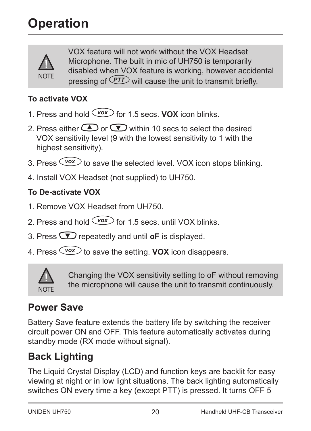

VOX feature will not work without the VOX Headset Microphone. The built in mic of UH750 is temporarily disabled when VOX feature is working, however accidental pressing of *PTT* will cause the unit to transmit briefly.

#### **To activate VOX**

- 1. Press and hold *vox* for 1.5 secs. **VOX** icon blinks.
- 2. Press either  $\bigcirc$  or  $\bigcirc$  within 10 secs to select the desired VOX sensitivity level (9 with the lowest sensitivity to 1 with the highest sensitivity).
- 3. Press  $\overline{\text{vox}}$  to save the selected level. VOX icon stops blinking.
- 4. Install VOX Headset (not supplied) to UH750.

#### **To De-activate VOX**

- 1. Remove VOX Headset from UH750.
- 2. Press and hold  $\overline{\langle \text{vox} \rangle}$  for 1.5 secs. until VOX blinks.
- 3. Press  $\bullet$  repeatedly and until **oF** is displayed.
- 4. Press *vox* to save the setting. **VOX** icon disappears.



Changing the VOX sensitivity setting to oF without removing the microphone will cause the unit to transmit continuously.

# **Power Save**

Battery Save feature extends the battery life by switching the receiver circuit power ON and OFF. This feature automatically activates during standby mode (RX mode without signal).

# **Back Lighting**

The Liquid Crystal Display (LCD) and function keys are backlit for easy viewing at night or in low light situations. The back lighting automatically switches ON every time a key (except PTT) is pressed. It turns OFF 5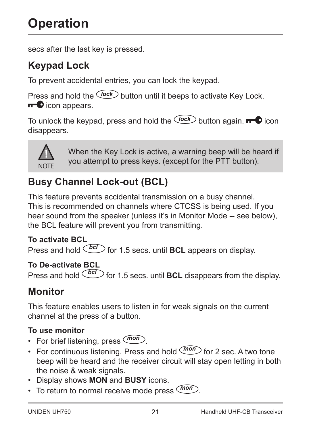secs after the last key is pressed.

# **Keypad Lock**

To prevent accidental entries, you can lock the keypad.

Press and hold the *lock* button until it beeps to activate Key Lock.  $\blacksquare$  icon appears.

To unlock the keypad, press and hold the *Clock* button again. **The** icon disappears.



When the Key Lock is active, a warning beep will be heard if you attempt to press keys. (except for the PTT button).

# **Busy Channel Lock-out (BCL)**

This feature prevents accidental transmission on a busy channel. This is recommended on channels where CTCSS is being used. If you hear sound from the speaker (unless it's in Monitor Mode -- see below), the BCL feature will prevent you from transmitting.

#### **To activate BCL**

Press and hold *bcl* for 1.5 secs. until **BCL** appears on display.

#### **To De-activate BCL**

Press and hold  $\boxed{bc}$  for 1.5 secs. until **BCL** disappears from the display.

## **Monitor**

This feature enables users to listen in for weak signals on the current channel at the press of a button.

#### **To use monitor**

- For brief listening, press *mon* .
- For continuous listening. Press and hold  $\overline{(mon)}$  for 2 sec. A two tone beep will be heard and the receiver circuit will stay open letting in both the noise & weak signals.
- Display shows **MON** and **BUSY** icons.
- To return to normal receive mode press *mon* .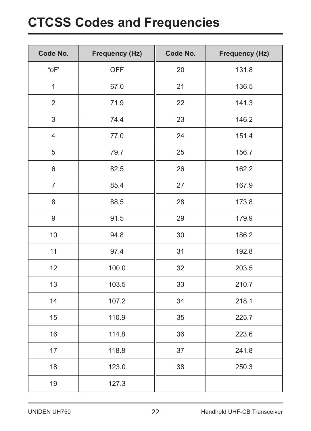# **CTCSS Codes and Frequencies**

| Code No.       | Frequency (Hz) | Code No. | Frequency (Hz) |
|----------------|----------------|----------|----------------|
| "oF"           | <b>OFF</b>     | 20       | 131.8          |
| $\mathbf{1}$   | 67.0           | 21       | 136.5          |
| $\overline{2}$ | 71.9           | 22       | 141.3          |
| 3              | 74.4           | 23       | 146.2          |
| $\overline{4}$ | 77.0           | 24       | 151.4          |
| 5              | 79.7           | 25       | 156.7          |
| 6              | 82.5           | 26       | 162.2          |
| $\overline{7}$ | 85.4           | 27       | 167.9          |
| 8              | 88.5           | 28       | 173.8          |
| 9              | 91.5           | 29       | 179.9          |
| 10             | 94.8           | 30       | 186.2          |
| 11             | 97.4           | 31       | 192.8          |
| 12             | 100.0          | 32       | 203.5          |
| 13             | 103.5          | 33       | 210.7          |
| 14             | 107.2          | 34       | 218.1          |
| 15             | 110.9          | 35       | 225.7          |
| 16             | 114.8          | 36       | 223.6          |
| 17             | 118.8          | 37       | 241.8          |
| 18             | 123.0          | 38       | 250.3          |
| 19             | 127.3          |          |                |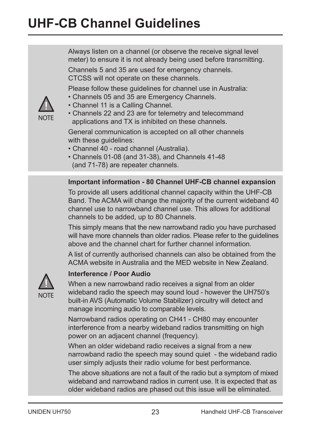NOTE

Always listen on a channel (or observe the receive signal level meter) to ensure it is not already being used before transmitting.

Channels 5 and 35 are used for emergency channels. CTCSS will not operate on these channels.

Please follow these guidelines for channel use in Australia:

- Channels 05 and 35 are Emergency Channels.
- Channel 11 is a Calling Channel.
- Channels 22 and 23 are for telemetry and telecommand applications and TX is inhibited on these channels.

General communication is accepted on all other channels with these quidelines:

- Channel 40 road channel (Australia).
- Channels 01-08 (and 31-38), and Channels 41-48 (and 71-78) are repeater channels.

#### **Important information - 80 Channel UHF-CB channel expansion**

To provide all users additional channel capacity within the UHF-CB Band. The ACMA will change the majority of the current wideband 40 channel use to narrowband channel use. This allows for additional channels to be added, up to 80 Channels.

This simply means that the new narrowband radio you have purchased will have more channels than older radios. Please refer to the quidelines above and the channel chart for further channel information.

A list of currently authorised channels can also be obtained from the ACMA website in Australia and the MED website in New Zealand.



#### **Interference / Poor Audio**

When a new narrowband radio receives a signal from an older wideband radio the speech may sound loud - however the UH750's built-in AVS (Automatic Volume Stabilizer) circuitry will detect and manage incoming audio to comparable levels.

Narrowband radios operating on CH41 - CH80 may encounter interference from a nearby wideband radios transmitting on high power on an adjacent channel (frequency).

When an older wideband radio receives a signal from a new narrowband radio the speech may sound quiet - the wideband radio user simply adjusts their radio volume for best performance.

The above situations are not a fault of the radio but a symptom of mixed wideband and narrowband radios in current use. It is expected that as older wideband radios are phased out this issue will be eliminated.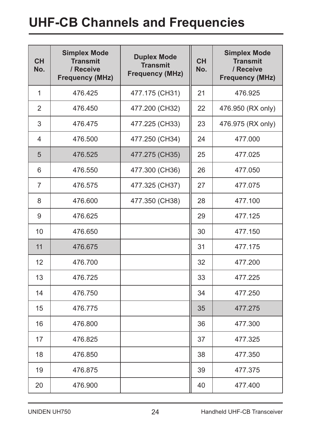# **UHF-CB Channels and Frequencies**

| <b>CH</b><br>No. | <b>Simplex Mode</b><br><b>Transmit</b><br>/ Receive<br><b>Frequency (MHz)</b> | <b>Duplex Mode</b><br><b>Transmit</b><br><b>Frequency (MHz)</b> | <b>CH</b><br>No. | <b>Simplex Mode</b><br><b>Transmit</b><br>/ Receive<br><b>Frequency (MHz)</b> |
|------------------|-------------------------------------------------------------------------------|-----------------------------------------------------------------|------------------|-------------------------------------------------------------------------------|
| $\mathbf{1}$     | 476.425                                                                       | 477.175 (CH31)                                                  | 21               | 476.925                                                                       |
| $\overline{2}$   | 476.450                                                                       | 477.200 (CH32)                                                  | 22               | 476.950 (RX only)                                                             |
| 3                | 476.475                                                                       | 477.225 (CH33)                                                  | 23               | 476.975 (RX only)                                                             |
| 4                | 476.500                                                                       | 477.250 (CH34)                                                  | 24               | 477.000                                                                       |
| 5                | 476.525                                                                       | 477.275 (CH35)                                                  | 25               | 477.025                                                                       |
| 6                | 476.550                                                                       | 477.300 (CH36)                                                  | 26               | 477.050                                                                       |
| $\overline{7}$   | 476.575                                                                       | 477.325 (CH37)                                                  | 27               | 477.075                                                                       |
| 8                | 476.600                                                                       | 477.350 (CH38)                                                  | 28               | 477.100                                                                       |
| 9                | 476.625                                                                       |                                                                 | 29               | 477.125                                                                       |
| 10               | 476.650                                                                       |                                                                 | 30               | 477.150                                                                       |
| 11               | 476.675                                                                       |                                                                 | 31               | 477.175                                                                       |
| 12               | 476.700                                                                       |                                                                 | 32               | 477.200                                                                       |
| 13               | 476.725                                                                       |                                                                 | 33               | 477.225                                                                       |
| 14               | 476.750                                                                       |                                                                 | 34               | 477.250                                                                       |
| 15               | 476.775                                                                       |                                                                 | 35               | 477.275                                                                       |
| 16               | 476.800                                                                       |                                                                 | 36               | 477.300                                                                       |
| 17               | 476.825                                                                       |                                                                 | 37               | 477.325                                                                       |
| 18               | 476.850                                                                       |                                                                 | 38               | 477.350                                                                       |
| 19               | 476.875                                                                       |                                                                 | 39               | 477.375                                                                       |
| 20               | 476.900                                                                       |                                                                 | 40               | 477.400                                                                       |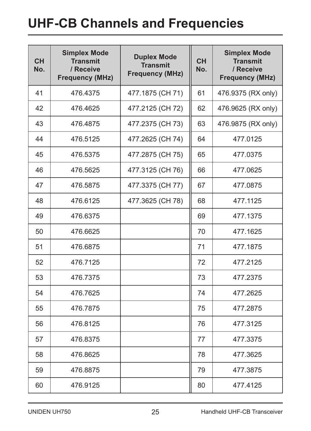# **UHF-CB Channels and Frequencies**

| <b>CH</b><br>No. | <b>Simplex Mode</b><br><b>Transmit</b><br>/ Receive<br><b>Frequency (MHz)</b> | <b>Duplex Mode</b><br><b>Transmit</b><br><b>Frequency (MHz)</b> | <b>CH</b><br>No. | <b>Simplex Mode</b><br><b>Transmit</b><br>/ Receive<br><b>Frequency (MHz)</b> |
|------------------|-------------------------------------------------------------------------------|-----------------------------------------------------------------|------------------|-------------------------------------------------------------------------------|
| 41               | 476.4375                                                                      | 477.1875 (CH 71)                                                | 61               | 476.9375 (RX only)                                                            |
| 42               | 476.4625                                                                      | 477.2125 (CH 72)                                                | 62               | 476.9625 (RX only)                                                            |
| 43               | 476.4875                                                                      | 477.2375 (CH 73)                                                | 63               | 476.9875 (RX only)                                                            |
| 44               | 476.5125                                                                      | 477.2625 (CH 74)                                                | 64               | 477.0125                                                                      |
| 45               | 476.5375                                                                      | 477.2875 (CH 75)                                                | 65               | 477.0375                                                                      |
| 46               | 476.5625                                                                      | 477.3125 (CH 76)                                                | 66               | 477.0625                                                                      |
| 47               | 476.5875                                                                      | 477.3375 (CH 77)                                                | 67               | 477.0875                                                                      |
| 48               | 476.6125                                                                      | 477.3625 (CH 78)                                                | 68               | 477.1125                                                                      |
| 49               | 476.6375                                                                      |                                                                 | 69               | 477.1375                                                                      |
| 50               | 476.6625                                                                      |                                                                 | 70               | 477.1625                                                                      |
| 51               | 476.6875                                                                      |                                                                 | 71               | 477.1875                                                                      |
| 52               | 476.7125                                                                      |                                                                 | 72               | 477.2125                                                                      |
| 53               | 476.7375                                                                      |                                                                 | 73               | 477.2375                                                                      |
| 54               | 476.7625                                                                      |                                                                 | 74               | 477.2625                                                                      |
| 55               | 476.7875                                                                      |                                                                 | 75               | 477.2875                                                                      |
| 56               | 476.8125                                                                      |                                                                 | 76               | 477.3125                                                                      |
| 57               | 476.8375                                                                      |                                                                 | 77               | 477.3375                                                                      |
| 58               | 476.8625                                                                      |                                                                 | 78               | 477.3625                                                                      |
| 59               | 476.8875                                                                      |                                                                 | 79               | 477.3875                                                                      |
| 60               | 476.9125                                                                      |                                                                 | 80               | 477.4125                                                                      |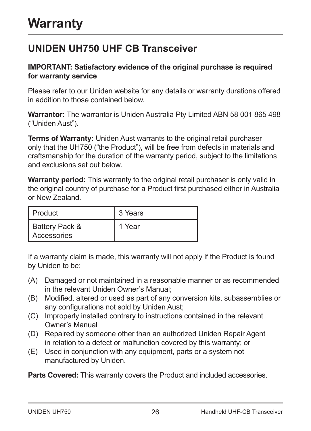## **UNIDEN UH750 UHF CB Transceiver**

#### **IMPORTANT: Satisfactory evidence of the original purchase is required for warranty service**

Please refer to our Uniden website for any details or warranty durations offered in addition to those contained below.

**Warrantor:** The warrantor is Uniden Australia Pty Limited ABN 58 001 865 498 ("Uniden Aust").

**Terms of Warranty:** Uniden Aust warrants to the original retail purchaser only that the UH750 ("the Product"), will be free from defects in materials and craftsmanship for the duration of the warranty period, subject to the limitations and exclusions set out below.

**Warranty period:** This warranty to the original retail purchaser is only valid in the original country of purchase for a Product first purchased either in Australia or New Zealand.

| l Product                     | 3 Years |
|-------------------------------|---------|
| Battery Pack &<br>Accessories | 1 Year  |

If a warranty claim is made, this warranty will not apply if the Product is found by Uniden to be:

- (A) Damaged or not maintained in a reasonable manner or as recommended in the relevant Uniden Owner's Manual;
- (B) Modified, altered or used as part of any conversion kits, subassemblies or any configurations not sold by Uniden Aust;
- (C) Improperly installed contrary to instructions contained in the relevant Owner's Manual
- (D) Repaired by someone other than an authorized Uniden Repair Agent in relation to a defect or malfunction covered by this warranty; or
- (E) Used in conjunction with any equipment, parts or a system not manufactured by Uniden.

**Parts Covered:** This warranty covers the Product and included accessories.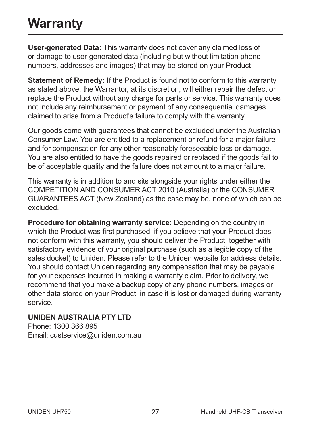# **Warranty**

**User-generated Data:** This warranty does not cover any claimed loss of or damage to user-generated data (including but without limitation phone numbers, addresses and images) that may be stored on your Product.

**Statement of Remedy:** If the Product is found not to conform to this warranty as stated above, the Warrantor, at its discretion, will either repair the defect or replace the Product without any charge for parts or service. This warranty does not include any reimbursement or payment of any consequential damages claimed to arise from a Product's failure to comply with the warranty.

Our goods come with guarantees that cannot be excluded under the Australian Consumer Law. You are entitled to a replacement or refund for a major failure and for compensation for any other reasonably foreseeable loss or damage. You are also entitled to have the goods repaired or replaced if the goods fail to be of acceptable quality and the failure does not amount to a major failure.

This warranty is in addition to and sits alongside your rights under either the COMPETITION AND CONSUMER ACT 2010 (Australia) or the CONSUMER GUARANTEES ACT (New Zealand) as the case may be, none of which can be excluded.

**Procedure for obtaining warranty service:** Depending on the country in which the Product was first purchased, if you believe that your Product does not conform with this warranty, you should deliver the Product, together with satisfactory evidence of your original purchase (such as a legible copy of the sales docket) to Uniden. Please refer to the Uniden website for address details. You should contact Uniden regarding any compensation that may be payable for your expenses incurred in making a warranty claim. Prior to delivery, we recommend that you make a backup copy of any phone numbers, images or other data stored on your Product, in case it is lost or damaged during warranty service.

#### **UNIDEN AUSTRALIA PTY LTD**

Phone: 1300 366 895 Email: custservice@uniden.com.au